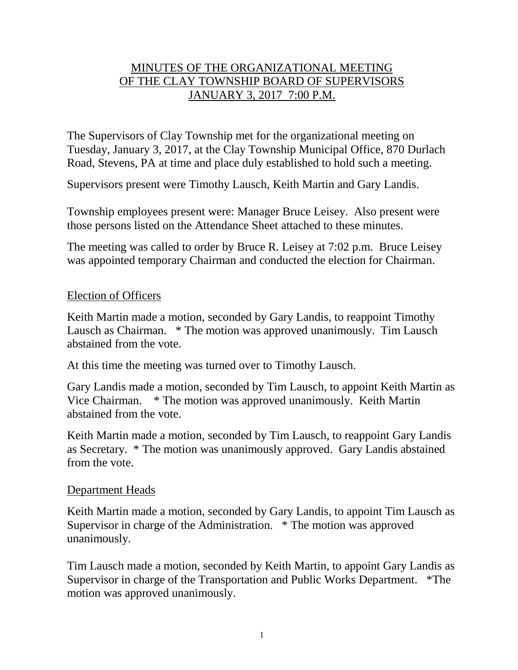# MINUTES OF THE ORGANIZATIONAL MEETING OF THE CLAY TOWNSHIP BOARD OF SUPERVISORS JANUARY 3, 2017 7:00 P.M.

The Supervisors of Clay Township met for the organizational meeting on Tuesday, January 3, 2017, at the Clay Township Municipal Office, 870 Durlach Road, Stevens, PA at time and place duly established to hold such a meeting.

Supervisors present were Timothy Lausch, Keith Martin and Gary Landis.

Township employees present were: Manager Bruce Leisey. Also present were those persons listed on the Attendance Sheet attached to these minutes.

The meeting was called to order by Bruce R. Leisey at 7:02 p.m. Bruce Leisey was appointed temporary Chairman and conducted the election for Chairman.

### Election of Officers

Keith Martin made a motion, seconded by Gary Landis, to reappoint Timothy Lausch as Chairman. \* The motion was approved unanimously. Tim Lausch abstained from the vote.

At this time the meeting was turned over to Timothy Lausch.

Gary Landis made a motion, seconded by Tim Lausch, to appoint Keith Martin as Vice Chairman. \* The motion was approved unanimously. Keith Martin abstained from the vote.

Keith Martin made a motion, seconded by Tim Lausch, to reappoint Gary Landis as Secretary. \* The motion was unanimously approved. Gary Landis abstained from the vote.

#### Department Heads

Keith Martin made a motion, seconded by Gary Landis, to appoint Tim Lausch as Supervisor in charge of the Administration. \* The motion was approved unanimously.

Tim Lausch made a motion, seconded by Keith Martin, to appoint Gary Landis as Supervisor in charge of the Transportation and Public Works Department. \*The motion was approved unanimously.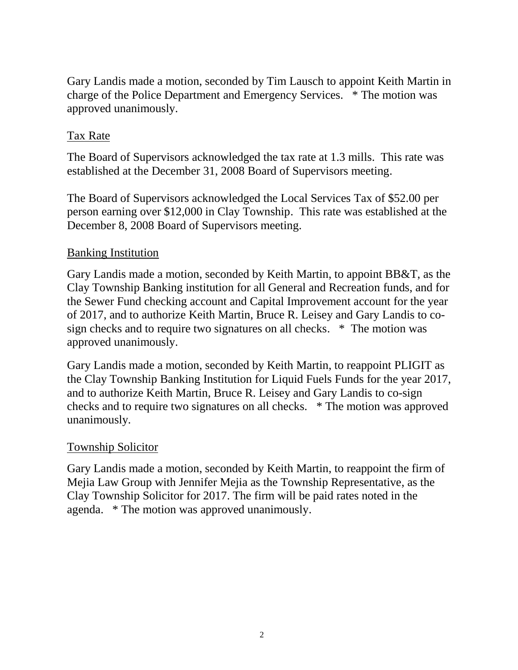Gary Landis made a motion, seconded by Tim Lausch to appoint Keith Martin in charge of the Police Department and Emergency Services. \* The motion was approved unanimously.

# Tax Rate

The Board of Supervisors acknowledged the tax rate at 1.3 mills. This rate was established at the December 31, 2008 Board of Supervisors meeting.

The Board of Supervisors acknowledged the Local Services Tax of \$52.00 per person earning over \$12,000 in Clay Township. This rate was established at the December 8, 2008 Board of Supervisors meeting.

# Banking Institution

Gary Landis made a motion, seconded by Keith Martin, to appoint BB&T, as the Clay Township Banking institution for all General and Recreation funds, and for the Sewer Fund checking account and Capital Improvement account for the year of 2017, and to authorize Keith Martin, Bruce R. Leisey and Gary Landis to cosign checks and to require two signatures on all checks. \* The motion was approved unanimously.

Gary Landis made a motion, seconded by Keith Martin, to reappoint PLIGIT as the Clay Township Banking Institution for Liquid Fuels Funds for the year 2017, and to authorize Keith Martin, Bruce R. Leisey and Gary Landis to co-sign checks and to require two signatures on all checks. \* The motion was approved unanimously.

#### Township Solicitor

Gary Landis made a motion, seconded by Keith Martin, to reappoint the firm of Mejia Law Group with Jennifer Mejia as the Township Representative, as the Clay Township Solicitor for 2017. The firm will be paid rates noted in the agenda. \* The motion was approved unanimously.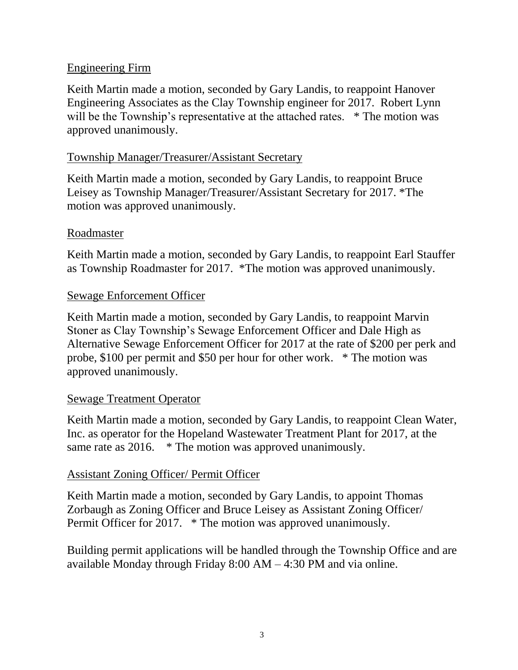# Engineering Firm

Keith Martin made a motion, seconded by Gary Landis, to reappoint Hanover Engineering Associates as the Clay Township engineer for 2017. Robert Lynn will be the Township's representative at the attached rates. \* The motion was approved unanimously.

# Township Manager/Treasurer/Assistant Secretary

Keith Martin made a motion, seconded by Gary Landis, to reappoint Bruce Leisey as Township Manager/Treasurer/Assistant Secretary for 2017. \*The motion was approved unanimously.

# Roadmaster

Keith Martin made a motion, seconded by Gary Landis, to reappoint Earl Stauffer as Township Roadmaster for 2017. \*The motion was approved unanimously.

### Sewage Enforcement Officer

Keith Martin made a motion, seconded by Gary Landis, to reappoint Marvin Stoner as Clay Township's Sewage Enforcement Officer and Dale High as Alternative Sewage Enforcement Officer for 2017 at the rate of \$200 per perk and probe, \$100 per permit and \$50 per hour for other work. \* The motion was approved unanimously.

#### Sewage Treatment Operator

Keith Martin made a motion, seconded by Gary Landis, to reappoint Clean Water, Inc. as operator for the Hopeland Wastewater Treatment Plant for 2017, at the same rate as 2016. \* The motion was approved unanimously.

# Assistant Zoning Officer/ Permit Officer

Keith Martin made a motion, seconded by Gary Landis, to appoint Thomas Zorbaugh as Zoning Officer and Bruce Leisey as Assistant Zoning Officer/ Permit Officer for 2017. \* The motion was approved unanimously.

Building permit applications will be handled through the Township Office and are available Monday through Friday 8:00 AM – 4:30 PM and via online.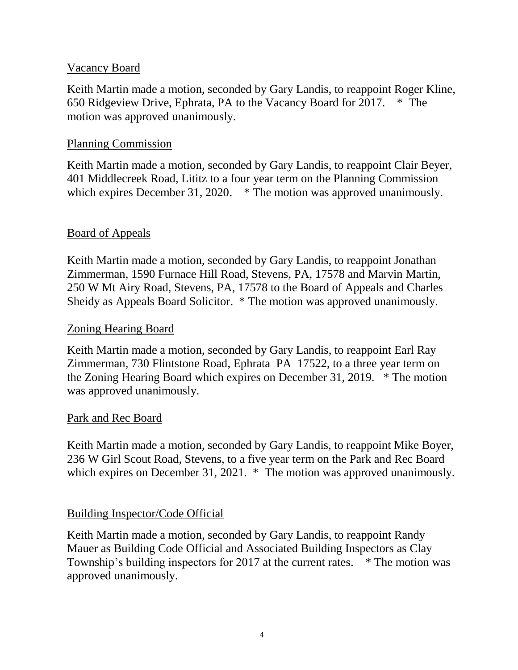### Vacancy Board

Keith Martin made a motion, seconded by Gary Landis, to reappoint Roger Kline, 650 Ridgeview Drive, Ephrata, PA to the Vacancy Board for 2017. \* The motion was approved unanimously.

### Planning Commission

Keith Martin made a motion, seconded by Gary Landis, to reappoint Clair Beyer, 401 Middlecreek Road, Lititz to a four year term on the Planning Commission which expires December 31, 2020. \* The motion was approved unanimously.

# Board of Appeals

Keith Martin made a motion, seconded by Gary Landis, to reappoint Jonathan Zimmerman, 1590 Furnace Hill Road, Stevens, PA, 17578 and Marvin Martin, 250 W Mt Airy Road, Stevens, PA, 17578 to the Board of Appeals and Charles Sheidy as Appeals Board Solicitor. \* The motion was approved unanimously.

#### Zoning Hearing Board

Keith Martin made a motion, seconded by Gary Landis, to reappoint Earl Ray Zimmerman, 730 Flintstone Road, Ephrata PA 17522, to a three year term on the Zoning Hearing Board which expires on December 31, 2019. \* The motion was approved unanimously.

# Park and Rec Board

Keith Martin made a motion, seconded by Gary Landis, to reappoint Mike Boyer, 236 W Girl Scout Road, Stevens, to a five year term on the Park and Rec Board which expires on December 31, 2021. \* The motion was approved unanimously.

# Building Inspector/Code Official

Keith Martin made a motion, seconded by Gary Landis, to reappoint Randy Mauer as Building Code Official and Associated Building Inspectors as Clay Township's building inspectors for 2017 at the current rates. \* The motion was approved unanimously.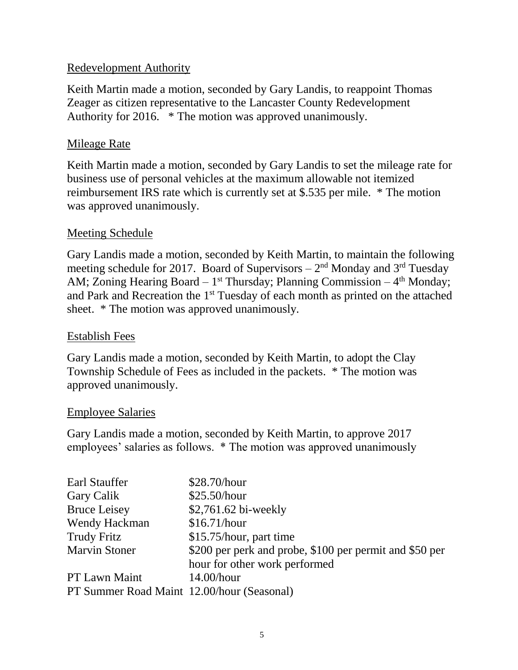# Redevelopment Authority

Keith Martin made a motion, seconded by Gary Landis, to reappoint Thomas Zeager as citizen representative to the Lancaster County Redevelopment Authority for 2016. \* The motion was approved unanimously.

### Mileage Rate

Keith Martin made a motion, seconded by Gary Landis to set the mileage rate for business use of personal vehicles at the maximum allowable not itemized reimbursement IRS rate which is currently set at \$.535 per mile. \* The motion was approved unanimously.

### Meeting Schedule

Gary Landis made a motion, seconded by Keith Martin, to maintain the following meeting schedule for 2017. Board of Supervisors  $-2<sup>nd</sup>$  Monday and 3<sup>rd</sup> Tuesday AM; Zoning Hearing Board  $-1^{st}$  Thursday; Planning Commission  $-4^{th}$  Monday; and Park and Recreation the 1<sup>st</sup> Tuesday of each month as printed on the attached sheet. \* The motion was approved unanimously.

#### Establish Fees

Gary Landis made a motion, seconded by Keith Martin, to adopt the Clay Township Schedule of Fees as included in the packets. \* The motion was approved unanimously.

#### Employee Salaries

Gary Landis made a motion, seconded by Keith Martin, to approve 2017 employees' salaries as follows. \* The motion was approved unanimously

| Earl Stauffer                              | \$28.70/hour                                            |
|--------------------------------------------|---------------------------------------------------------|
| Gary Calik                                 | \$25.50/hour                                            |
| <b>Bruce Leisey</b>                        | \$2,761.62 bi-weekly                                    |
| Wendy Hackman                              | \$16.71/hour                                            |
| <b>Trudy Fritz</b>                         | \$15.75/hour, part time                                 |
| <b>Marvin Stoner</b>                       | \$200 per perk and probe, \$100 per permit and \$50 per |
|                                            | hour for other work performed                           |
| PT Lawn Maint                              | $14.00/h$ our                                           |
| PT Summer Road Maint 12.00/hour (Seasonal) |                                                         |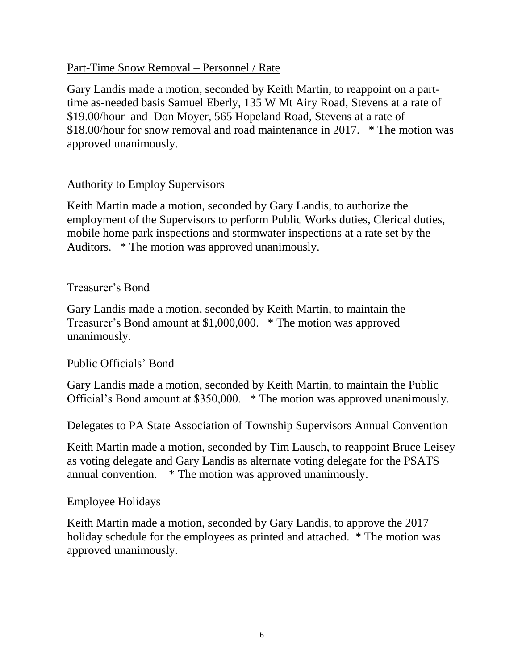### Part-Time Snow Removal – Personnel / Rate

Gary Landis made a motion, seconded by Keith Martin, to reappoint on a parttime as-needed basis Samuel Eberly, 135 W Mt Airy Road, Stevens at a rate of \$19.00/hour and Don Moyer, 565 Hopeland Road, Stevens at a rate of \$18.00/hour for snow removal and road maintenance in 2017. \* The motion was approved unanimously.

# Authority to Employ Supervisors

Keith Martin made a motion, seconded by Gary Landis, to authorize the employment of the Supervisors to perform Public Works duties, Clerical duties, mobile home park inspections and stormwater inspections at a rate set by the Auditors. \* The motion was approved unanimously.

### Treasurer's Bond

Gary Landis made a motion, seconded by Keith Martin, to maintain the Treasurer's Bond amount at \$1,000,000. \* The motion was approved unanimously.

#### Public Officials' Bond

Gary Landis made a motion, seconded by Keith Martin, to maintain the Public Official's Bond amount at \$350,000. \* The motion was approved unanimously.

#### Delegates to PA State Association of Township Supervisors Annual Convention

Keith Martin made a motion, seconded by Tim Lausch, to reappoint Bruce Leisey as voting delegate and Gary Landis as alternate voting delegate for the PSATS annual convention. \* The motion was approved unanimously.

#### Employee Holidays

Keith Martin made a motion, seconded by Gary Landis, to approve the 2017 holiday schedule for the employees as printed and attached. \* The motion was approved unanimously.